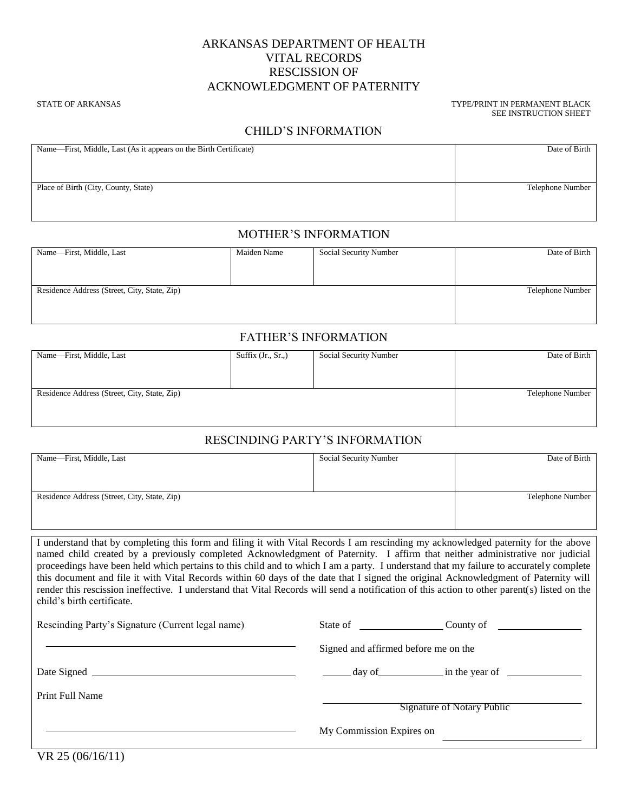## ARKANSAS DEPARTMENT OF HEALTH VITAL RECORDS RESCISSION OF ACKNOWLEDGMENT OF PATERNITY

STATE OF ARKANSAS THE STATE OF ARKANSAS THE STATE OF ARKANSAS TYPE/PRINT IN PERMANENT BLACK SEE INSTRUCTION SHEET

### CHILD'S INFORMATION

| Name—First, Middle, Last (As it appears on the Birth Certificate) | Date of Birth    |
|-------------------------------------------------------------------|------------------|
|                                                                   |                  |
|                                                                   |                  |
| Place of Birth (City, County, State)                              | Telephone Number |
|                                                                   |                  |
|                                                                   |                  |
|                                                                   |                  |

#### MOTHER'S INFORMATION

| Name-First, Middle, Last                     | Maiden Name | Social Security Number | Date of Birth    |
|----------------------------------------------|-------------|------------------------|------------------|
|                                              |             |                        |                  |
|                                              |             |                        |                  |
| Residence Address (Street, City, State, Zip) |             |                        | Telephone Number |
|                                              |             |                        |                  |
|                                              |             |                        |                  |

#### FATHER'S INFORMATION

| Name-First, Middle, Last                     | Suffix $(Jr., Sr.,)$ | Social Security Number | Date of Birth    |
|----------------------------------------------|----------------------|------------------------|------------------|
|                                              |                      |                        |                  |
|                                              |                      |                        |                  |
| Residence Address (Street, City, State, Zip) |                      |                        | Telephone Number |
|                                              |                      |                        |                  |
|                                              |                      |                        |                  |

## RESCINDING PARTY'S INFORMATION

| Name—First, Middle, Last                     | Social Security Number | Date of Birth    |
|----------------------------------------------|------------------------|------------------|
|                                              |                        |                  |
|                                              |                        |                  |
|                                              |                        |                  |
|                                              |                        |                  |
|                                              |                        |                  |
| Residence Address (Street, City, State, Zip) |                        | Telephone Number |
|                                              |                        |                  |
|                                              |                        |                  |
|                                              |                        |                  |
|                                              |                        |                  |
|                                              |                        |                  |

I understand that by completing this form and filing it with Vital Records I am rescinding my acknowledged paternity for the above named child created by a previously completed Acknowledgment of Paternity. I affirm that neither administrative nor judicial proceedings have been held which pertains to this child and to which I am a party. I understand that my failure to accurately complete this document and file it with Vital Records within 60 days of the date that I signed the original Acknowledgment of Paternity will render this rescission ineffective. I understand that Vital Records will send a notification of this action to other parent(s) listed on the child's birth certificate.

| Rescinding Party's Signature (Current legal name) | State of County of                                |
|---------------------------------------------------|---------------------------------------------------|
|                                                   | Signed and affirmed before me on the              |
|                                                   | $\frac{1}{2}$ day of $\frac{1}{2}$ in the year of |
| Print Full Name                                   | <b>Signature of Notary Public</b>                 |
|                                                   | My Commission Expires on                          |

VR 25 (06/16/11)